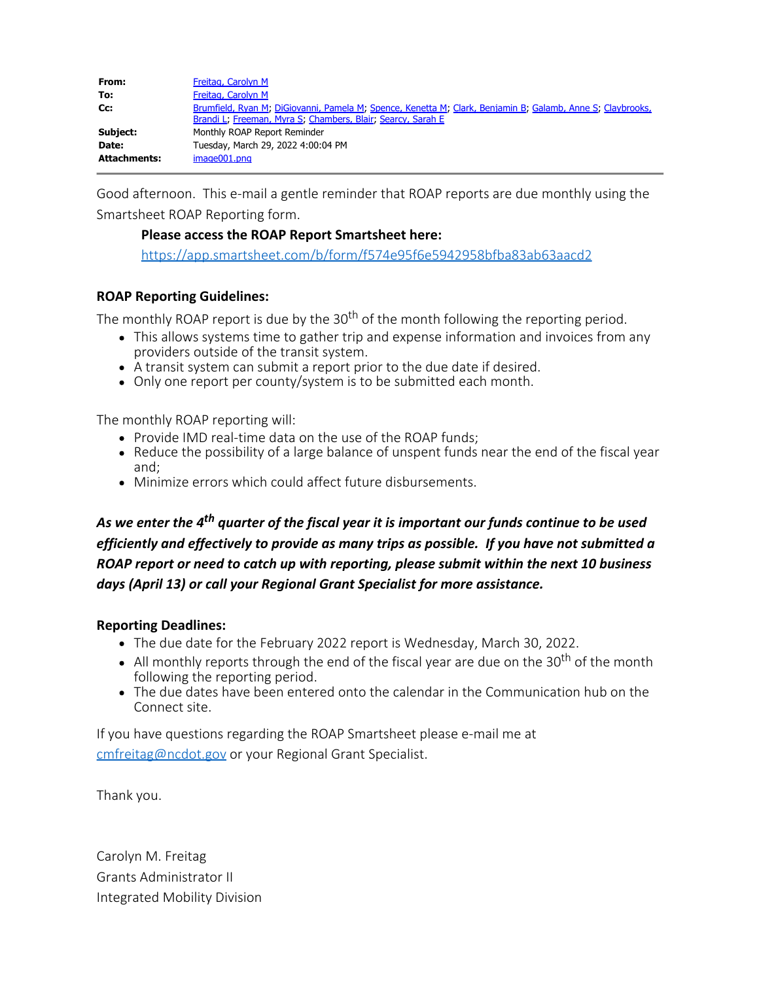| From:               | <b>Freitag, Carolyn M</b>                                                                                                                                                 |
|---------------------|---------------------------------------------------------------------------------------------------------------------------------------------------------------------------|
| To:                 | Freitag, Carolyn M                                                                                                                                                        |
| Cc:                 | Brumfield, Ryan M; DiGiovanni, Pamela M; Spence, Kenetta M; Clark, Benjamin B; Galamb, Anne S; Claybrooks,<br>Brandi L, Freeman, Myra S, Chambers, Blair, Searcy, Sarah E |
| Subject:            | Monthly ROAP Report Reminder                                                                                                                                              |
| Date:               | Tuesday, March 29, 2022 4:00:04 PM                                                                                                                                        |
| <b>Attachments:</b> | $imae001.$ png                                                                                                                                                            |

Good afternoon. This e-mail a gentle reminder that ROAP reports are due monthly using the Smartsheet ROAP Reporting form.

## **Please access the ROAP Report Smartsheet here:**

<https://app.smartsheet.com/b/form/f574e95f6e5942958bfba83ab63aacd2>

## **ROAP Reporting Guidelines:**

The monthly ROAP report is due by the  $30<sup>th</sup>$  of the month following the reporting period.

- This allows systems time to gather trip and expense information and invoices from any providers outside of the transit system.
- A transit system can submit a report prior to the due date if desired.
- Only one report per county/system is to be submitted each month.

The monthly ROAP reporting will:

- Provide IMD real-time data on the use of the ROAP funds:
- Reduce the possibility of a large balance of unspent funds near the end of the fiscal year and;
- Minimize errors which could affect future disbursements.

*As we enter the 4th quarter of the fiscal year it is important our funds continue to be used efficiently and effectively to provide as many trips as possible. If you have not submitted a ROAP report or need to catch up with reporting, please submit within the next 10 business days (April 13) or call your Regional Grant Specialist for more assistance.*

## **Reporting Deadlines:**

- The due date for the February 2022 report is Wednesday, March 30, 2022.
- All monthly reports through the end of the fiscal year are due on the 30<sup>th</sup> of the month following the reporting period.
- The due dates have been entered onto the calendar in the Communication hub on the Connect site.

If you have questions regarding the ROAP Smartsheet please e-mail me at [cmfreitag@ncdot.gov](mailto:cmfreitag@ncdot.gov) or your Regional Grant Specialist.

Thank you.

Carolyn M. Freitag Grants Administrator II Integrated Mobility Division